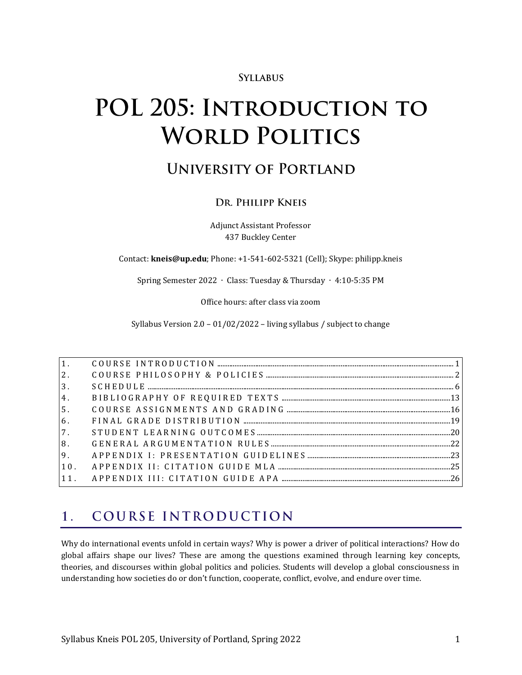### **SYLLABUS**

# POL 205: INTRODUCTION TO **WORLD POLITICS**

## **UNIVERSITY OF PORTLAND**

### DR. PHILIPP KNEIS

Adjunct Assistant Professor 437 Buckley Center

Contact: **kneis@up.edu**; Phone: +1-541-602-5321 (Cell); Skype: philipp.kneis

Spring Semester 2022 ∙ Class: Tuesday & Thursday ∙ 4:10-5:35 PM

Office hours: after class via zoom

Syllabus Version 2.0 – 01/02/2022 – living syllabus / subject to change

| 2.             |  |
|----------------|--|
| 3 <sup>1</sup> |  |
| 4.             |  |
| 5 <sub>1</sub> |  |
| 6.             |  |
| 7.             |  |
| 8.             |  |
|                |  |
| 10.            |  |
|                |  |

#### <span id="page-0-0"></span>COURSE INTRODUCTION  $\mathbf{1}$ .

Why do international events unfold in certain ways? Why is power a driver of political interactions? How do global affairs shape our lives? These are among the questions examined through learning key concepts, theories, and discourses within global politics and policies. Students will develop a global consciousness in understanding how societies do or don't function, cooperate, conflict, evolve, and endure over time.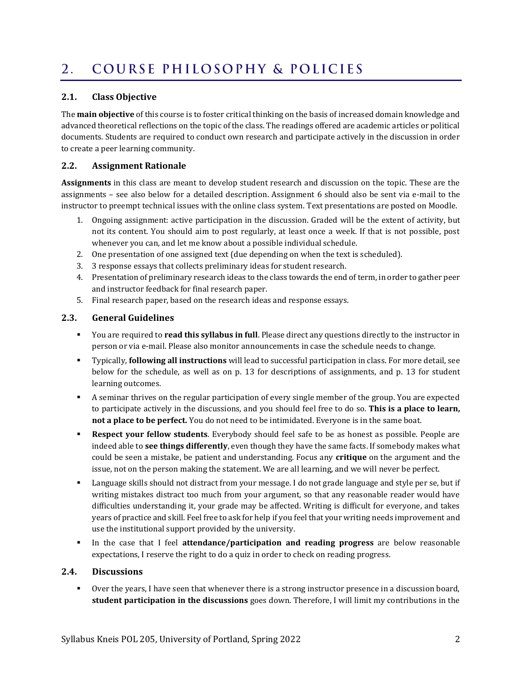#### <span id="page-1-0"></span>COURSE PHILOSOPHY & POLICIES  $2.$

#### **2.1. Class Objective**

The **main objective** of this course is to foster critical thinking on the basis of increased domain knowledge and advanced theoretical reflections on the topic of the class. The readings offered are academic articles or political documents. Students are required to conduct own research and participate actively in the discussion in order to create a peer learning community.

#### **2.2. Assignment Rationale**

**Assignments** in this class are meant to develop student research and discussion on the topic. These are the assignments – see also below for a detailed description. Assignment 6 should also be sent via e-mail to the instructor to preempt technical issues with the online class system. Text presentations are posted on Moodle.

- 1. Ongoing assignment: active participation in the discussion. Graded will be the extent of activity, but not its content. You should aim to post regularly, at least once a week. If that is not possible, post whenever you can, and let me know about a possible individual schedule.
- 2. One presentation of one assigned text (due depending on when the text is scheduled).
- 3. 3 response essays that collects preliminary ideas for student research.
- 4. Presentation of preliminary research ideas to the class towards the end of term, in order to gather peer and instructor feedback for final research paper.
- 5. Final research paper, based on the research ideas and response essays.

### **2.3. General Guidelines**

- You are required to **read this syllabus in full**. Please direct any questions directly to the instructor in person or via e-mail. Please also monitor announcements in case the schedule needs to change.
- Typically, **following all instructions** will lead to successful participation in class. For more detail, see below for the schedule, as well as on p. [13](#page-12-1) for descriptions of assignments, and p. [13](#page-12-1) for student learning outcomes.
- A seminar thrives on the regular participation of every single member of the group. You are expected to participate actively in the discussions, and you should feel free to do so. **This is a place to learn, not a place to be perfect.** You do not need to be intimidated. Everyone is in the same boat.
- **Respect your fellow students**. Everybody should feel safe to be as honest as possible. People are indeed able to **see things differently**, even though they have the same facts. If somebody makes what could be seen a mistake, be patient and understanding. Focus any **critique** on the argument and the issue, not on the person making the statement. We are all learning, and we will never be perfect.
- Language skills should not distract from your message. I do not grade language and style per se, but if writing mistakes distract too much from your argument, so that any reasonable reader would have difficulties understanding it, your grade may be affected. Writing is difficult for everyone, and takes years of practice and skill. Feel free to ask for help if you feel that your writing needs improvement and use the institutional support provided by the university.
- In the case that I feel **attendance/participation and reading progress** are below reasonable expectations, I reserve the right to do a quiz in order to check on reading progress.

#### **2.4. Discussions**

▪ Over the years, I have seen that whenever there is a strong instructor presence in a discussion board, **student participation in the discussions** goes down. Therefore, I will limit my contributions in the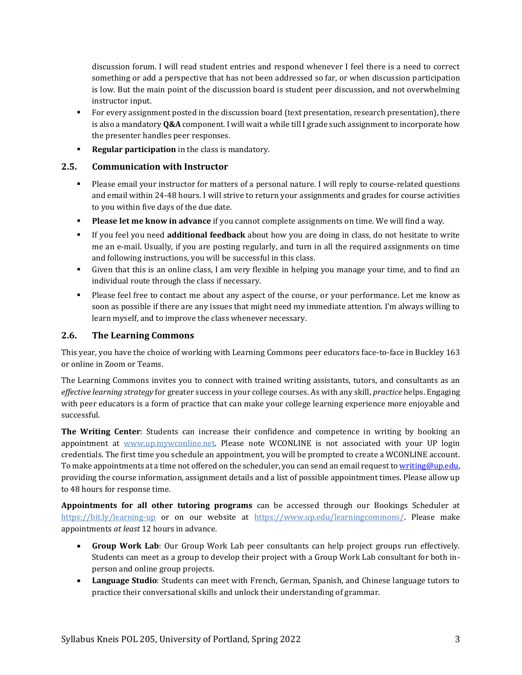discussion forum. I will read student entries and respond whenever I feel there is a need to correct something or add a perspective that has not been addressed so far, or when discussion participation is low. But the main point of the discussion board is student peer discussion, and not overwhelming instructor input.

- For every assignment posted in the discussion board (text presentation, research presentation), there is also a mandatory **Q&A** component. I will wait a while till I grade such assignment to incorporate how the presenter handles peer responses.
- **Regular participation** in the class is mandatory.

#### **2.5. Communication with Instructor**

- Please email your instructor for matters of a personal nature. I will reply to course-related questions and email within 24-48 hours. I will strive to return your assignments and grades for course activities to you within five days of the due date.
- **Please let me know in advance** if you cannot complete assignments on time. We will find a way.
- If you feel you need **additional feedback** about how you are doing in class, do not hesitate to write me an e-mail. Usually, if you are posting regularly, and turn in all the required assignments on time and following instructions, you will be successful in this class.
- Given that this is an online class, I am very flexible in helping you manage your time, and to find an individual route through the class if necessary.
- Please feel free to contact me about any aspect of the course, or your performance. Let me know as soon as possible if there are any issues that might need my immediate attention. I'm always willing to learn myself, and to improve the class whenever necessary.

### **2.6. The Learning Commons**

This year, you have the choice of working with Learning Commons peer educators face-to-face in Buckley 163 or online in Zoom or Teams.

The Learning Commons invites you to connect with trained writing assistants, tutors, and consultants as an *effective learning strategy* for greater success in your college courses. As with any skill, *practice* helps. Engaging with peer educators is a form of practice that can make your college learning experience more enjoyable and successful.

**The Writing Center**: Students can increase their confidence and competence in writing by booking an appointment at [www.up.mywconline.net.](http://www.up.mywconline.net/) Please note WCONLINE is not associated with your UP login credentials. The first time you schedule an appointment, you will be prompted to create a WCONLINE account. To make appointments at a time not offered on the scheduler, you can send an email request t[o writing@up.edu,](mailto:writing@up.edu) providing the course information, assignment details and a list of possible appointment times. Please allow up to 48 hours for response time.

**Appointments for all other tutoring programs** can be accessed through our Bookings Scheduler at <https://bit.ly/learning-up> or on our website at [https://www.up.edu/learningcommons/.](https://www.up.edu/learningcommons/) Please make appointments *at least* 12 hours in advance.

- **Group Work Lab**: Our Group Work Lab peer consultants can help project groups run effectively. Students can meet as a group to develop their project with a Group Work Lab consultant for both inperson and online group projects.
- **Language Studio**: Students can meet with French, German, Spanish, and Chinese language tutors to practice their conversational skills and unlock their understanding of grammar.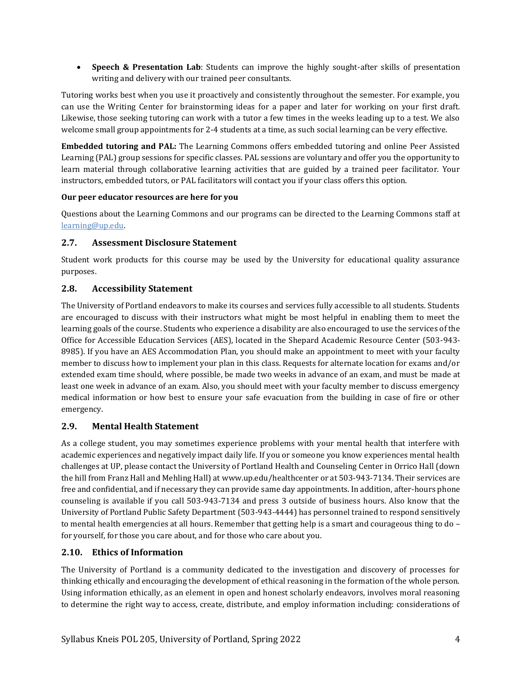• **Speech & Presentation Lab**: Students can improve the highly sought-after skills of presentation writing and delivery with our trained peer consultants.

Tutoring works best when you use it proactively and consistently throughout the semester. For example, you can use the Writing Center for brainstorming ideas for a paper and later for working on your first draft. Likewise, those seeking tutoring can work with a tutor a few times in the weeks leading up to a test. We also welcome small group appointments for 2-4 students at a time, as such social learning can be very effective.

**Embedded tutoring and PAL:** The Learning Commons offers embedded tutoring and online Peer Assisted Learning (PAL) group sessions for specific classes. PAL sessions are voluntary and offer you the opportunity to learn material through collaborative learning activities that are guided by a trained peer facilitator. Your instructors, embedded tutors, or PAL facilitators will contact you if your class offers this option.

#### **Our peer educator resources are here for you**

Questions about the Learning Commons and our programs can be directed to the Learning Commons staff at [learning@up.edu.](mailto:learning@up.edu) 

### **2.7. Assessment Disclosure Statement**

Student work products for this course may be used by the University for educational quality assurance purposes.

### **2.8. Accessibility Statement**

The University of Portland endeavors to make its courses and services fully accessible to all students. Students are encouraged to discuss with their instructors what might be most helpful in enabling them to meet the learning goals of the course. Students who experience a disability are also encouraged to use the services of the Office for Accessible Education Services (AES), located in the Shepard Academic Resource Center (503-943- 8985). If you have an AES Accommodation Plan, you should make an appointment to meet with your faculty member to discuss how to implement your plan in this class. Requests for alternate location for exams and/or extended exam time should, where possible, be made two weeks in advance of an exam, and must be made at least one week in advance of an exam. Also, you should meet with your faculty member to discuss emergency medical information or how best to ensure your safe evacuation from the building in case of fire or other emergency.

### **2.9. Mental Health Statement**

As a college student, you may sometimes experience problems with your mental health that interfere with academic experiences and negatively impact daily life. If you or someone you know experiences mental health challenges at UP, please contact the University of Portland Health and Counseling Center in Orrico Hall (down the hill from Franz Hall and Mehling Hall) a[t www.up.edu/healthcenter](http://www.up.edu/healthcenter) or at 503-943-7134. Their services are free and confidential, and if necessary they can provide same day appointments. In addition, after-hours phone counseling is available if you call 503-943-7134 and press 3 outside of business hours. Also know that the University of Portland Public Safety Department (503-943-4444) has personnel trained to respond sensitively to mental health emergencies at all hours. Remember that getting help is a smart and courageous thing to do – for yourself, for those you care about, and for those who care about you.

### **2.10. Ethics of Information**

The University of Portland is a community dedicated to the investigation and discovery of processes for thinking ethically and encouraging the development of ethical reasoning in the formation of the whole person. Using information ethically, as an element in open and honest scholarly endeavors, involves moral reasoning to determine the right way to access, create, distribute, and employ information including: considerations of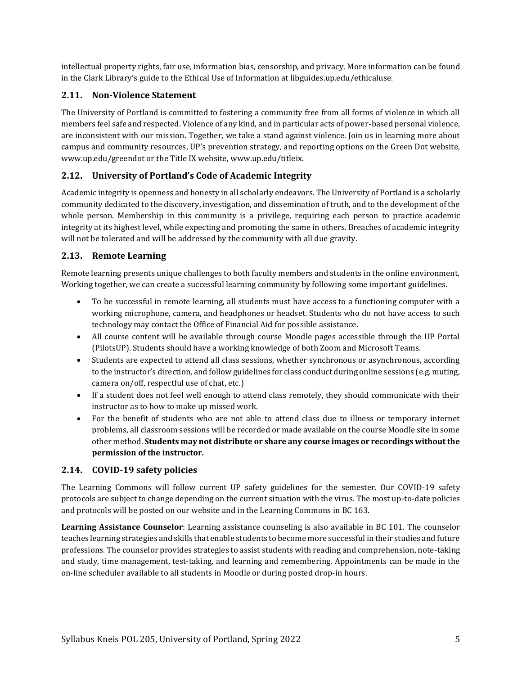intellectual property rights, fair use, information bias, censorship, and privacy. More information can be found in the Clark Library's guide to the [Ethical Use of Information](https://libguides.up.edu/ethicaluse/) at [libguides.up.edu/ethicaluse.](https://libguides.up.edu/ethicaluse/)

#### **2.11. Non-Violence Statement**

The University of Portland is committed to fostering a community free from all forms of violence in which all members feel safe and respected. Violence of any kind, and in particular acts of power-based personal violence, are inconsistent with our mission. Together, we take a stand against violence. Join us in learning more about campus and community resources, UP's prevention strategy, and reporting options on the [Green Dot website,](https://www.up.edu/greendot/) [www.up.edu/greendot](https://www.up.edu/greendot/) or the [Title IX website,](https://www.up.edu/titleix/) [www.up.edu/titleix.](https://www.up.edu/titleix/)

### **2.12. University of Portland's Code of Academic Integrity**

Academic integrity is openness and honesty in all scholarly endeavors. The University of Portland is a scholarly community dedicated to the discovery, investigation, and dissemination of truth, and to the development of the whole person. Membership in this community is a privilege, requiring each person to practice academic integrity at its highest level, while expecting and promoting the same in others. Breaches of academic integrity will not be tolerated and will be addressed by the community with all due gravity.

### **2.13. Remote Learning**

Remote learning presents unique challenges to both faculty members and students in the online environment. Working together, we can create a successful learning community by following some important guidelines.

- To be successful in remote learning, all students must have access to a functioning computer with a working microphone, camera, and headphones or headset. Students who do not have access to such technology may contact the Office of Financial Aid for possible assistance.
- All course content will be available through course Moodle pages accessible through the UP Portal (PilotsUP). Students should have a working knowledge of both Zoom and Microsoft Teams.
- Students are expected to attend all class sessions, whether synchronous or asynchronous, according to the instructor's direction, and follow guidelines for class conduct during online sessions (e.g. muting, camera on/off, respectful use of chat, etc.)
- If a student does not feel well enough to attend class remotely, they should communicate with their instructor as to how to make up missed work.
- For the benefit of students who are not able to attend class due to illness or temporary internet problems, all classroom sessions will be recorded or made available on the course Moodle site in some other method. **Students may not distribute or share any course images or recordings without the permission of the instructor.**

#### **2.14. COVID-19 safety policies**

The Learning Commons will follow current UP safety guidelines for the semester. Our COVID-19 safety protocols are subject to change depending on the current situation with the virus. The most up-to-date policies and protocols will be posted on our website and in the Learning Commons in BC 163.

**Learning Assistance Counselor**: Learning assistance counseling is also available in BC 101. The counselor teaches learning strategies and skills that enable students to become more successful in their studies and future professions. The counselor provides strategies to assist students with reading and comprehension, note-taking and study, time management, test-taking, and learning and remembering. Appointments can be made in the on-line scheduler available to all students in Moodle or during posted drop-in hours.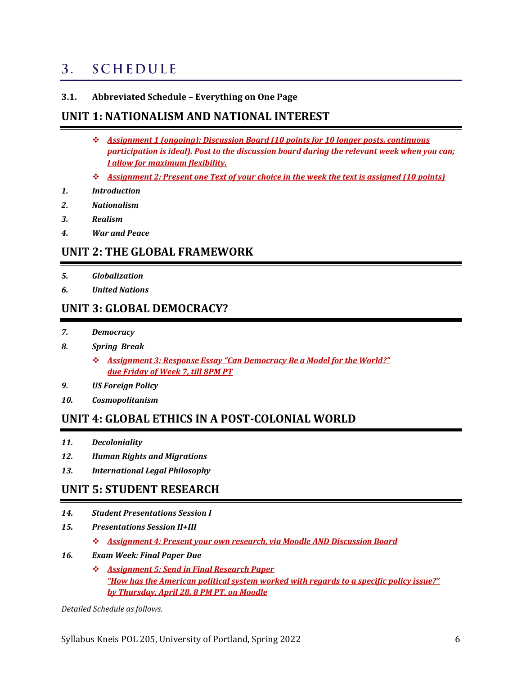#### <span id="page-5-0"></span>**SCHEDULE**  $3<sub>1</sub>$

#### **3.1. Abbreviated Schedule – Everything on One Page**

### **UNIT 1: NATIONALISM AND NATIONAL INTEREST**

- ❖ *Assignment 1 (ongoing): Discussion Board (10 points for 10 longer posts, continuous participation is ideal). Post to the discussion board during the relevant week when you can; I allow for maximum flexibility.*
- ❖ *Assignment 2: Present one Text of your choice in the week the text is assigned (10 points)*
- *1. Introduction*
- *2. Nationalism*
- *3. Realism*
- *4. War and Peace*

### **UNIT 2: THE GLOBAL FRAMEWORK**

- *5. Globalization*
- *6. United Nations*

### **UNIT 3: GLOBAL DEMOCRACY?**

- *7. Democracy*
- *8. Spring Break*
	- ❖ *Assignment 3: Response Essay "Can Democracy Be a Model for the World?" due Friday of Week 7, till 8PM PT*
- *9. US Foreign Policy*
- *10. Cosmopolitanism*

### **UNIT 4: GLOBAL ETHICS IN A POST-COLONIAL WORLD**

- *11. Decoloniality*
- *12. Human Rights and Migrations*
- *13. International Legal Philosophy*

### **UNIT 5: STUDENT RESEARCH**

- *14. Student Presentations Session I*
- *15. Presentations Session II+III*
	- ❖ *Assignment 4: Present your own research, via Moodle AND Discussion Board*
- *16. Exam Week: Final Paper Due*
	- ❖ *Assignment 5: Send in Final Research Paper "How has the American political system worked with regards to a specific policy issue?" by Thursday, April 28, 8 PM PT, on Moodle*

*Detailed Schedule as follows.*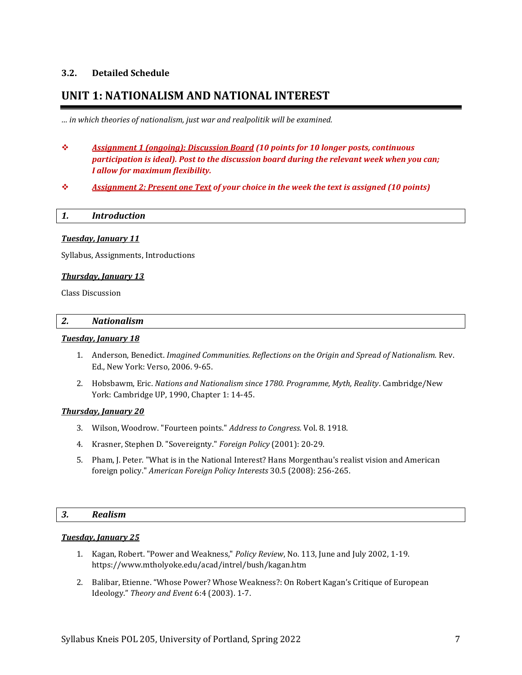#### **3.2. Detailed Schedule**

### **UNIT 1: NATIONALISM AND NATIONAL INTEREST**

*… in which theories of nationalism, just war and realpolitik will be examined.*

- ❖ *Assignment 1 (ongoing): Discussion Board (10 points for 10 longer posts, continuous participation is ideal). Post to the discussion board during the relevant week when you can; I allow for maximum flexibility.*
- ❖ *Assignment 2: Present one Text of your choice in the week the text is assigned (10 points)*

| 1. | <i><u><b>Introduction</b></u></i> |
|----|-----------------------------------|
|    |                                   |

#### *Tuesday, January 11*

Syllabus, Assignments, Introductions

#### *Thursday, January 13*

Class Discussion

#### *2. Nationalism*

#### *Tuesday, January 18*

- 1. Anderson, Benedict. *Imagined Communities. Reflections on the Origin and Spread of Nationalism.* Rev. Ed., New York: Verso, 2006. 9-65.
- 2. Hobsbawm, Eric. *Nations and Nationalism since 1780. Programme, Myth, Reality*. Cambridge/New York: Cambridge UP, 1990, Chapter 1: 14-45.

#### *Thursday, January 20*

- 3. Wilson, Woodrow. "Fourteen points." *Address to Congress.* Vol. 8. 1918.
- 4. Krasner, Stephen D. "Sovereignty." *Foreign Policy* (2001): 20-29.
- 5. Pham, J. Peter. "What is in the National Interest? Hans Morgenthau's realist vision and American foreign policy." *American Foreign Policy Interests* 30.5 (2008): 256-265.

#### *3. Realism*

#### *Tuesday, January 25*

- 1. Kagan, Robert. "Power and Weakness," *Policy Review*, No. 113, June and July 2002, 1-19. https://www.mtholyoke.edu/acad/intrel/bush/kagan.htm
- 2. Balibar, Etienne. "Whose Power? Whose Weakness?: On Robert Kagan's Critique of European Ideology." *Theory and Event* 6:4 (2003). 1-7.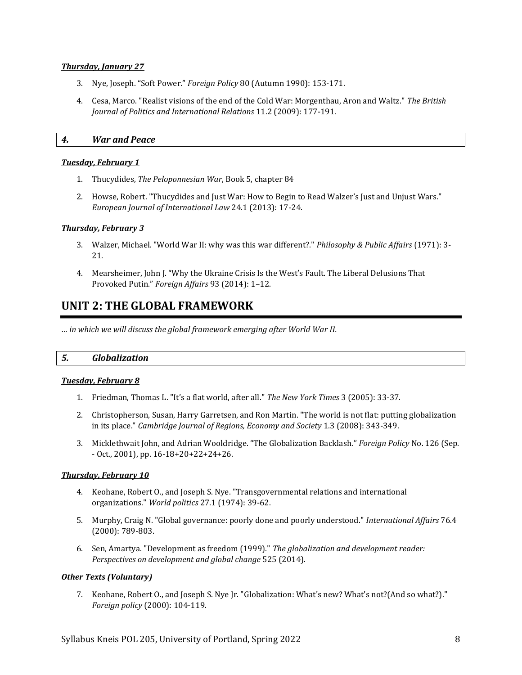#### *Thursday, January 27*

- 3. Nye, Joseph. "Soft Power." *Foreign Policy* 80 (Autumn 1990): 153-171.
- 4. Cesa, Marco. "Realist visions of the end of the Cold War: Morgenthau, Aron and Waltz." *The British Journal of Politics and International Relations* 11.2 (2009): 177-191.

#### *4. War and Peace*

#### *Tuesday, February 1*

- 1. Thucydides, *The Peloponnesian War*, Book 5, chapter 84
- 2. Howse, Robert. "Thucydides and Just War: How to Begin to Read Walzer's Just and Unjust Wars." *European Journal of International Law* 24.1 (2013): 17-24.

#### *Thursday, February 3*

- 3. Walzer, Michael. "World War II: why was this war different?." *Philosophy & Public Affairs* (1971): 3- 21.
- 4. Mearsheimer, John J. "Why the Ukraine Crisis Is the West's Fault. The Liberal Delusions That Provoked Putin." *Foreign Affairs* 93 (2014): 1–12.

### **UNIT 2: THE GLOBAL FRAMEWORK**

*… in which we will discuss the global framework emerging after World War II.*

#### *5. Globalization*

#### *Tuesday, February 8*

- 1. Friedman, Thomas L. "It's a flat world, after all." *The New York Times* 3 (2005): 33-37.
- 2. Christopherson, Susan, Harry Garretsen, and Ron Martin. "The world is not flat: putting globalization in its place." *Cambridge Journal of Regions, Economy and Society* 1.3 (2008): 343-349.
- 3. Micklethwait John, and Adrian Wooldridge. "The Globalization Backlash." *Foreign Policy* No. 126 (Sep. - Oct., 2001), pp. 16-18+20+22+24+26.

#### *Thursday, February 10*

- 4. Keohane, Robert O., and Joseph S. Nye. "Transgovernmental relations and international organizations." *World politics* 27.1 (1974): 39-62.
- 5. Murphy, Craig N. "Global governance: poorly done and poorly understood." *International Affairs* 76.4 (2000): 789-803.
- 6. Sen, Amartya. "Development as freedom (1999)." *The globalization and development reader: Perspectives on development and global change* 525 (2014).

#### *Other Texts (Voluntary)*

7. Keohane, Robert O., and Joseph S. Nye Jr. "Globalization: What's new? What's not?(And so what?)." *Foreign policy* (2000): 104-119.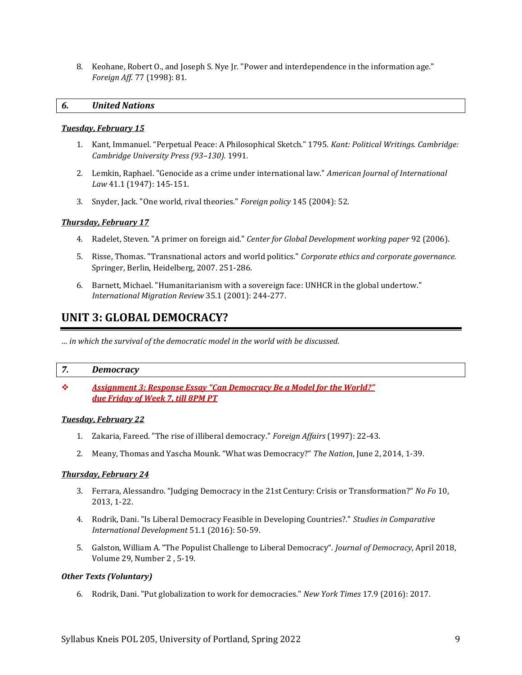8. Keohane, Robert O., and Joseph S. Nye Jr. "Power and interdependence in the information age." *Foreign Aff*. 77 (1998): 81.

#### *6. United Nations*

#### *Tuesday, February 15*

- 1. Kant, Immanuel. "Perpetual Peace: A Philosophical Sketch." 1795. *Kant: Political Writings. Cambridge: Cambridge University Press (93–130).* 1991*.*
- 2. Lemkin, Raphael. "Genocide as a crime under international law." *American Journal of International Law* 41.1 (1947): 145-151.
- 3. Snyder, Jack. "One world, rival theories." *Foreign policy* 145 (2004): 52.

#### *Thursday, February 17*

- 4. Radelet, Steven. "A primer on foreign aid." *Center for Global Development working paper* 92 (2006).
- 5. Risse, Thomas. "Transnational actors and world politics." *Corporate ethics and corporate governance.* Springer, Berlin, Heidelberg, 2007. 251-286.
- 6. Barnett, Michael. "Humanitarianism with a sovereign face: UNHCR in the global undertow." *International Migration Review* 35.1 (2001): 244-277.

### **UNIT 3: GLOBAL DEMOCRACY?**

*… in which the survival of the democratic model in the world with be discussed.*

#### *7. Democracy*

❖ *Assignment 3: Response Essay "Can Democracy Be a Model for the World?" due Friday of Week 7, till 8PM PT*

#### *Tuesday, February 22*

- 1. Zakaria, Fareed. "The rise of illiberal democracy." *Foreign Affairs* (1997): 22-43.
- 2. Meany, Thomas and Yascha Mounk. "What was Democracy?" *The Nation*, June 2, 2014, 1-39.

#### *Thursday, February 24*

- 3. Ferrara, Alessandro. "Judging Democracy in the 21st Century: Crisis or Transformation?" *No Fo* 10, 2013, 1-22.
- 4. Rodrik, Dani. "Is Liberal Democracy Feasible in Developing Countries?." *Studies in Comparative International Development* 51.1 (2016): 50-59.
- 5. Galston, William A. "The Populist Challenge to Liberal Democracy". *Journal of Democracy*, April 2018, Volume 29, Number 2 , 5-19.

#### *Other Texts (Voluntary)*

6. Rodrik, Dani. "Put globalization to work for democracies." *New York Times* 17.9 (2016): 2017.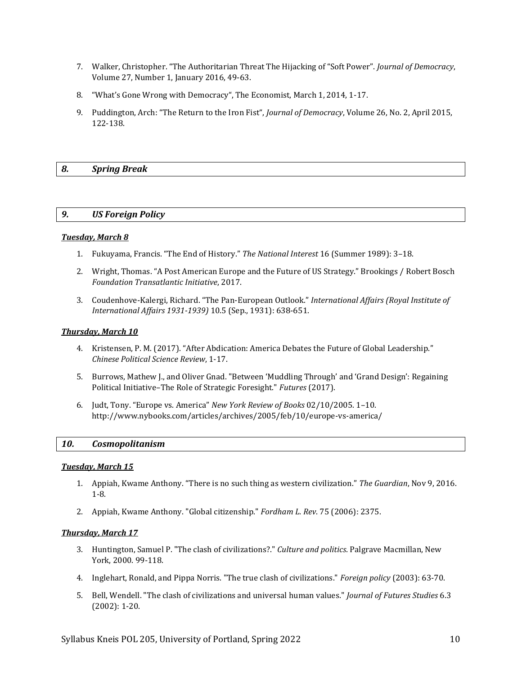- 7. Walker, Christopher. "The Authoritarian Threat The Hijacking of "Soft Power". *Journal of Democracy*, Volume 27, Number 1, January 2016, 49-63.
- 8. "What's Gone Wrong with Democracy", The Economist, March 1, 2014, 1-17.
- 9. Puddington, Arch: "The Return to the Iron Fist", *Journal of Democracy*, Volume 26, No. 2, April 2015, 122-138.

#### *8. Spring Break*

#### *9. US Foreign Policy*

#### *Tuesday, March 8*

- 1. Fukuyama, Francis. "The End of History." *The National Interest* 16 (Summer 1989): 3–18.
- 2. Wright, Thomas. "A Post American Europe and the Future of US Strategy." Brookings / Robert Bosch *Foundation Transatlantic Initiative*, 2017.
- 3. Coudenhove-Kalergi, Richard. "The Pan-European Outlook." *International Affairs (Royal Institute of International Affairs 1931-1939)* 10.5 (Sep., 1931): 638-651.

#### *Thursday, March 10*

- 4. Kristensen, P. M. (2017). "After Abdication: America Debates the Future of Global Leadership." *Chinese Political Science Review*, 1-17.
- 5. Burrows, Mathew J., and Oliver Gnad. "Between 'Muddling Through' and 'Grand Design': Regaining Political Initiative–The Role of Strategic Foresight." *Futures* (2017).
- 6. Judt, Tony. "Europe vs. America" *New York Review of Books* 02/10/2005. 1–10. http://www.nybooks.com/articles/archives/2005/feb/10/europe-vs-america/

#### *10. Cosmopolitanism*

#### *Tuesday, March 15*

- 1. Appiah, Kwame Anthony. "There is no such thing as western civilization." *The Guardian*, Nov 9, 2016. 1-8.
- 2. Appiah, Kwame Anthony. "Global citizenship." *Fordham L. Rev*. 75 (2006): 2375.

#### *Thursday, March 17*

- 3. Huntington, Samuel P. "The clash of civilizations?." *Culture and politics*. Palgrave Macmillan, New York, 2000. 99-118.
- 4. Inglehart, Ronald, and Pippa Norris. "The true clash of civilizations." *Foreign policy* (2003): 63-70.
- 5. Bell, Wendell. "The clash of civilizations and universal human values." *Journal of Futures Studies* 6.3 (2002): 1-20.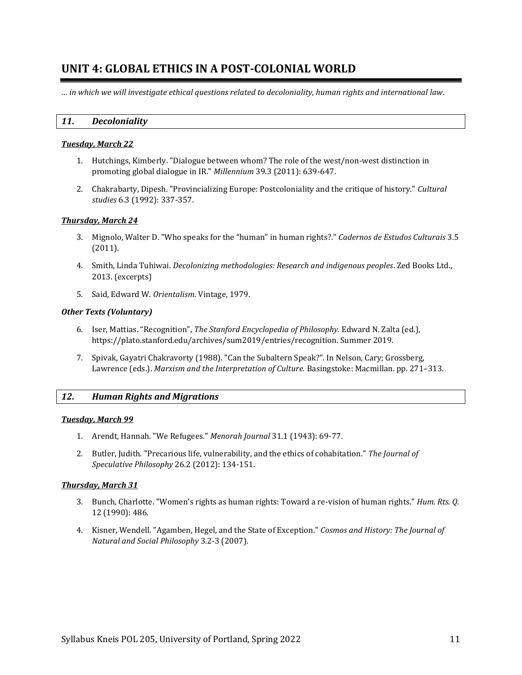### **UNIT 4: GLOBAL ETHICS IN A POST-COLONIAL WORLD**

*… in which we will investigate ethical questions related to decoloniality, human rights and international law.*

#### *11. Decoloniality*

#### *Tuesday, March 22*

- 1. Hutchings, Kimberly. "Dialogue between whom? The role of the west/non-west distinction in promoting global dialogue in IR." *Millennium* 39.3 (2011): 639-647.
- 2. Chakrabarty, Dipesh. "Provincializing Europe: Postcoloniality and the critique of history." *Cultural studies* 6.3 (1992): 337-357.

#### *Thursday, March 24*

- 3. Mignolo, Walter D. "Who speaks for the "human" in human rights?." *Cadernos de Estudos Culturais* 3.5 (2011).
- 4. Smith, Linda Tuhiwai. *Decolonizing methodologies: Research and indigenous peoples*. Zed Books Ltd., 2013. (excerpts)
- 5. Said, Edward W. *Orientalism*. Vintage, 1979.

#### *Other Texts (Voluntary)*

- 6. Iser, Mattias. "Recognition", *The Stanford Encyclopedia of Philosophy.* Edward N. Zalta (ed.), https://plato.stanford.edu/archives/sum2019/entries/recognition. Summer 2019.
- 7. Spivak, Gayatri Chakravorty (1988). "Can the Subaltern Speak?". In Nelson, Cary; Grossberg, Lawrence (eds.). *Marxism and the Interpretation of Culture.* Basingstoke: Macmillan. pp. 271–313.

#### *12. Human Rights and Migrations*

#### *Tuesday, March 99*

- 1. Arendt, Hannah. "We Refugees." *Menorah Journal* 31.1 (1943): 69-77.
- 2. Butler, Judith. "Precarious life, vulnerability, and the ethics of cohabitation." *The Journal of Speculative Philosophy* 26.2 (2012): 134-151.

#### *Thursday, March 31*

- 3. Bunch, Charlotte. "Women's rights as human rights: Toward a re-vision of human rights." *Hum. Rts. Q.* 12 (1990): 486.
- 4. Kisner, Wendell. "Agamben, Hegel, and the State of Exception." *Cosmos and History: The Journal of Natural and Social Philosophy* 3.2-3 (2007).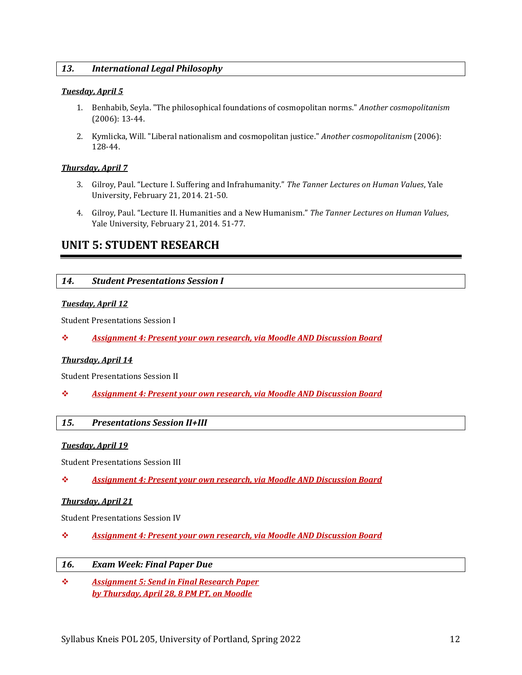#### *13. International Legal Philosophy*

#### *Tuesday, April 5*

- 1. Benhabib, Seyla. "The philosophical foundations of cosmopolitan norms." *Another cosmopolitanism* (2006): 13-44.
- 2. Kymlicka, Will. "Liberal nationalism and cosmopolitan justice." *Another cosmopolitanism* (2006): 128-44.

#### *Thursday, April 7*

- 3. Gilroy, Paul. "Lecture I. Suffering and Infrahumanity." *The Tanner Lectures on Human Values*, Yale University, February 21, 2014. 21-50.
- 4. Gilroy, Paul. "Lecture II. Humanities and a New Humanism." *The Tanner Lectures on Human Values*, Yale University, February 21, 2014. 51-77.

### **UNIT 5: STUDENT RESEARCH**

#### *14. Student Presentations Session I*

#### *Tuesday, April 12*

Student Presentations Session I

❖ *Assignment 4: Present your own research, via Moodle AND Discussion Board*

#### *Thursday, April 14*

Student Presentations Session II

❖ *Assignment 4: Present your own research, via Moodle AND Discussion Board*

### *15. Presentations Session II+III*

#### *Tuesday, April 19*

Student Presentations Session III

❖ *Assignment 4: Present your own research, via Moodle AND Discussion Board*

#### *Thursday, April 21*

Student Presentations Session IV

❖ *Assignment 4: Present your own research, via Moodle AND Discussion Board*

#### *16. Exam Week: Final Paper Due*

❖ *Assignment 5: Send in Final Research Paper by Thursday, April 28, 8 PM PT, on Moodle*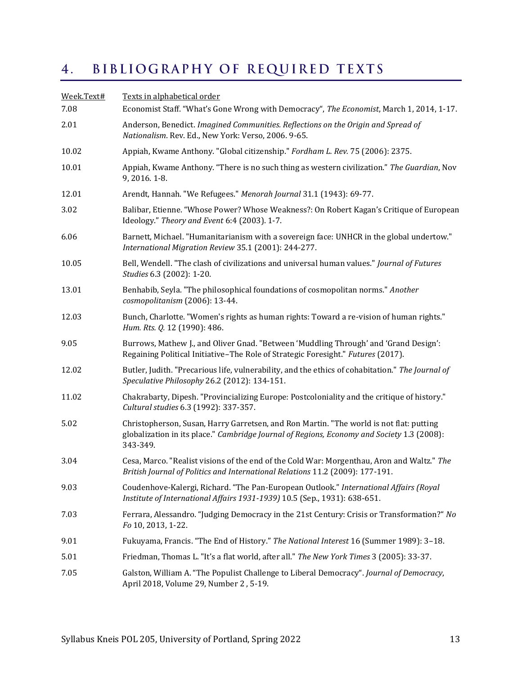#### <span id="page-12-0"></span>BIBLIOGRAPHY OF REQUIRED TEXTS  $4.$

<span id="page-12-1"></span>

| Week.Text#<br>7.08 | Texts in alphabetical order<br>Economist Staff. "What's Gone Wrong with Democracy", The Economist, March 1, 2014, 1-17.                                                                           |  |  |  |  |
|--------------------|---------------------------------------------------------------------------------------------------------------------------------------------------------------------------------------------------|--|--|--|--|
| 2.01               | Anderson, Benedict. Imagined Communities. Reflections on the Origin and Spread of<br>Nationalism. Rev. Ed., New York: Verso, 2006. 9-65.                                                          |  |  |  |  |
| 10.02              | Appiah, Kwame Anthony. "Global citizenship." Fordham L. Rev. 75 (2006): 2375.                                                                                                                     |  |  |  |  |
| 10.01              | Appiah, Kwame Anthony. "There is no such thing as western civilization." The Guardian, Nov<br>9, 2016. 1-8.                                                                                       |  |  |  |  |
| 12.01              | Arendt, Hannah. "We Refugees." Menorah Journal 31.1 (1943): 69-77.                                                                                                                                |  |  |  |  |
| 3.02               | Balibar, Etienne. "Whose Power? Whose Weakness?: On Robert Kagan's Critique of European<br>Ideology." Theory and Event 6:4 (2003). 1-7.                                                           |  |  |  |  |
| 6.06               | Barnett, Michael. "Humanitarianism with a sovereign face: UNHCR in the global undertow."<br>International Migration Review 35.1 (2001): 244-277.                                                  |  |  |  |  |
| 10.05              | Bell, Wendell. "The clash of civilizations and universal human values." Journal of Futures<br>Studies 6.3 (2002): 1-20.                                                                           |  |  |  |  |
| 13.01              | Benhabib, Seyla. "The philosophical foundations of cosmopolitan norms." Another<br>cosmopolitanism (2006): 13-44.                                                                                 |  |  |  |  |
| 12.03              | Bunch, Charlotte. "Women's rights as human rights: Toward a re-vision of human rights."<br>Hum. Rts. Q. 12 (1990): 486.                                                                           |  |  |  |  |
| 9.05               | Burrows, Mathew J., and Oliver Gnad. "Between 'Muddling Through' and 'Grand Design':<br>Regaining Political Initiative-The Role of Strategic Foresight." Futures (2017).                          |  |  |  |  |
| 12.02              | Butler, Judith. "Precarious life, vulnerability, and the ethics of cohabitation." The Journal of<br>Speculative Philosophy 26.2 (2012): 134-151.                                                  |  |  |  |  |
| 11.02              | Chakrabarty, Dipesh. "Provincializing Europe: Postcoloniality and the critique of history."<br>Cultural studies 6.3 (1992): 337-357.                                                              |  |  |  |  |
| 5.02               | Christopherson, Susan, Harry Garretsen, and Ron Martin. "The world is not flat: putting<br>globalization in its place." Cambridge Journal of Regions, Economy and Society 1.3 (2008):<br>343-349. |  |  |  |  |
| 3.04               | Cesa, Marco. "Realist visions of the end of the Cold War: Morgenthau, Aron and Waltz." The<br>British Journal of Politics and International Relations 11.2 (2009): 177-191.                       |  |  |  |  |
| 9.03               | Coudenhove-Kalergi, Richard. "The Pan-European Outlook." International Affairs (Royal<br>Institute of International Affairs 1931-1939) 10.5 (Sep., 1931): 638-651.                                |  |  |  |  |
| 7.03               | Ferrara, Alessandro. "Judging Democracy in the 21st Century: Crisis or Transformation?" No<br>Fo 10, 2013, 1-22.                                                                                  |  |  |  |  |
| 9.01               | Fukuyama, Francis. "The End of History." The National Interest 16 (Summer 1989): 3-18.                                                                                                            |  |  |  |  |
| 5.01               | Friedman, Thomas L. "It's a flat world, after all." The New York Times 3 (2005): 33-37.                                                                                                           |  |  |  |  |
| 7.05               | Galston, William A. "The Populist Challenge to Liberal Democracy". Journal of Democracy,<br>April 2018, Volume 29, Number 2, 5-19.                                                                |  |  |  |  |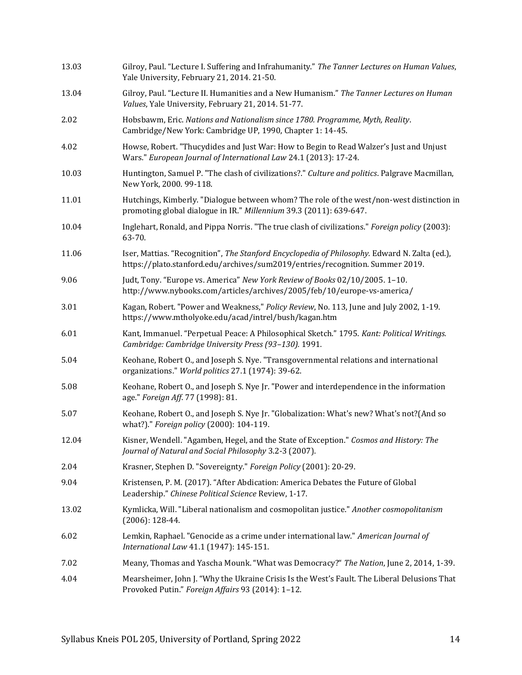| 13.03 | Gilroy, Paul. "Lecture I. Suffering and Infrahumanity." The Tanner Lectures on Human Values,<br>Yale University, February 21, 2014. 21-50.                                     |  |  |
|-------|--------------------------------------------------------------------------------------------------------------------------------------------------------------------------------|--|--|
| 13.04 | Gilroy, Paul. "Lecture II. Humanities and a New Humanism." The Tanner Lectures on Human<br>Values, Yale University, February 21, 2014. 51-77.                                  |  |  |
| 2.02  | Hobsbawm, Eric. Nations and Nationalism since 1780. Programme, Myth, Reality.<br>Cambridge/New York: Cambridge UP, 1990, Chapter 1: 14-45.                                     |  |  |
| 4.02  | Howse, Robert. "Thucydides and Just War: How to Begin to Read Walzer's Just and Unjust<br>Wars." European Journal of International Law 24.1 (2013): 17-24.                     |  |  |
| 10.03 | Huntington, Samuel P. "The clash of civilizations?." Culture and politics. Palgrave Macmillan,<br>New York, 2000. 99-118.                                                      |  |  |
| 11.01 | Hutchings, Kimberly. "Dialogue between whom? The role of the west/non-west distinction in<br>promoting global dialogue in IR." Millennium 39.3 (2011): 639-647.                |  |  |
| 10.04 | Inglehart, Ronald, and Pippa Norris. "The true clash of civilizations." Foreign policy (2003):<br>63-70.                                                                       |  |  |
| 11.06 | Iser, Mattias. "Recognition", The Stanford Encyclopedia of Philosophy. Edward N. Zalta (ed.),<br>https://plato.stanford.edu/archives/sum2019/entries/recognition. Summer 2019. |  |  |
| 9.06  | Judt, Tony. "Europe vs. America" New York Review of Books 02/10/2005. 1-10.<br>http://www.nybooks.com/articles/archives/2005/feb/10/europe-vs-america/                         |  |  |
| 3.01  | Kagan, Robert. "Power and Weakness," Policy Review, No. 113, June and July 2002, 1-19.<br>https://www.mtholyoke.edu/acad/intrel/bush/kagan.htm                                 |  |  |
| 6.01  | Kant, Immanuel. "Perpetual Peace: A Philosophical Sketch." 1795. Kant: Political Writings.<br>Cambridge: Cambridge University Press (93-130). 1991.                            |  |  |
| 5.04  | Keohane, Robert O., and Joseph S. Nye. "Transgovernmental relations and international<br>organizations." World politics 27.1 (1974): 39-62.                                    |  |  |
| 5.08  | Keohane, Robert O., and Joseph S. Nye Jr. "Power and interdependence in the information<br>age." Foreign Aff. 77 (1998): 81.                                                   |  |  |
| 5.07  | Keohane, Robert O., and Joseph S. Nye Jr. "Globalization: What's new? What's not?(And so<br>what?)." Foreign policy (2000): 104-119.                                           |  |  |
| 12.04 | Kisner, Wendell. "Agamben, Hegel, and the State of Exception." Cosmos and History: The<br>Journal of Natural and Social Philosophy 3.2-3 (2007).                               |  |  |
| 2.04  | Krasner, Stephen D. "Sovereignty." Foreign Policy (2001): 20-29.                                                                                                               |  |  |
| 9.04  | Kristensen, P. M. (2017). "After Abdication: America Debates the Future of Global<br>Leadership." Chinese Political Science Review, 1-17.                                      |  |  |
| 13.02 | Kymlicka, Will. "Liberal nationalism and cosmopolitan justice." Another cosmopolitanism<br>$(2006): 128-44.$                                                                   |  |  |
| 6.02  | Lemkin, Raphael. "Genocide as a crime under international law." American Journal of<br>International Law 41.1 (1947): 145-151.                                                 |  |  |
| 7.02  | Meany, Thomas and Yascha Mounk. "What was Democracy?" The Nation, June 2, 2014, 1-39.                                                                                          |  |  |
| 4.04  | Mearsheimer, John J. "Why the Ukraine Crisis Is the West's Fault. The Liberal Delusions That<br>Provoked Putin." Foreign Affairs 93 (2014): 1-12.                              |  |  |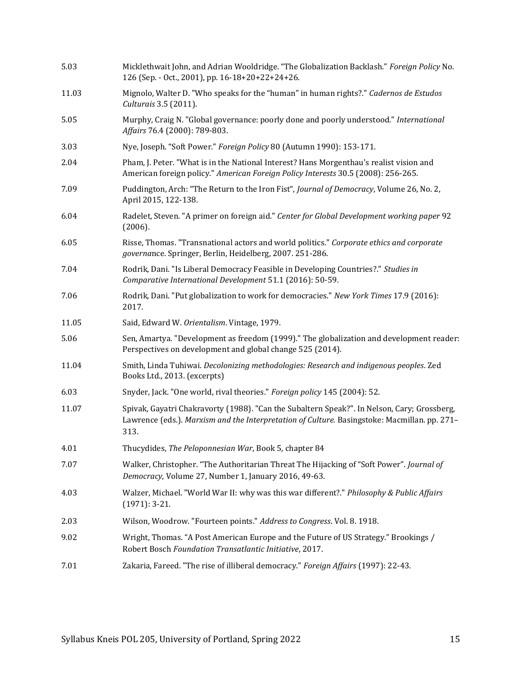| 5.03  | Micklethwait John, and Adrian Wooldridge. "The Globalization Backlash." Foreign Policy No.<br>126 (Sep. - Oct., 2001), pp. 16-18+20+22+24+26.                                                       |  |  |  |
|-------|-----------------------------------------------------------------------------------------------------------------------------------------------------------------------------------------------------|--|--|--|
| 11.03 | Mignolo, Walter D. "Who speaks for the "human" in human rights?." Cadernos de Estudos<br>Culturais 3.5 (2011).                                                                                      |  |  |  |
| 5.05  | Murphy, Craig N. "Global governance: poorly done and poorly understood." International<br>Affairs 76.4 (2000): 789-803.                                                                             |  |  |  |
| 3.03  | Nye, Joseph. "Soft Power." Foreign Policy 80 (Autumn 1990): 153-171.                                                                                                                                |  |  |  |
| 2.04  | Pham, J. Peter. "What is in the National Interest? Hans Morgenthau's realist vision and<br>American foreign policy." American Foreign Policy Interests 30.5 (2008): 256-265.                        |  |  |  |
| 7.09  | Puddington, Arch: "The Return to the Iron Fist", Journal of Democracy, Volume 26, No. 2,<br>April 2015, 122-138.                                                                                    |  |  |  |
| 6.04  | Radelet, Steven. "A primer on foreign aid." Center for Global Development working paper 92<br>(2006).                                                                                               |  |  |  |
| 6.05  | Risse, Thomas. "Transnational actors and world politics." Corporate ethics and corporate<br>governance. Springer, Berlin, Heidelberg, 2007. 251-286.                                                |  |  |  |
| 7.04  | Rodrik, Dani. "Is Liberal Democracy Feasible in Developing Countries?." Studies in<br>Comparative International Development 51.1 (2016): 50-59.                                                     |  |  |  |
| 7.06  | Rodrik, Dani. "Put globalization to work for democracies." New York Times 17.9 (2016):<br>2017.                                                                                                     |  |  |  |
| 11.05 | Said, Edward W. Orientalism. Vintage, 1979.                                                                                                                                                         |  |  |  |
| 5.06  | Sen, Amartya. "Development as freedom (1999)." The globalization and development reader:<br>Perspectives on development and global change 525 (2014).                                               |  |  |  |
| 11.04 | Smith, Linda Tuhiwai. Decolonizing methodologies: Research and indigenous peoples. Zed<br>Books Ltd., 2013. (excerpts)                                                                              |  |  |  |
| 6.03  | Snyder, Jack. "One world, rival theories." Foreign policy 145 (2004): 52.                                                                                                                           |  |  |  |
| 11.07 | Spivak, Gayatri Chakravorty (1988). "Can the Subaltern Speak?". In Nelson, Cary; Grossberg,<br>Lawrence (eds.). Marxism and the Interpretation of Culture. Basingstoke: Macmillan. pp. 271-<br>313. |  |  |  |
| 4.01  | Thucydides, The Peloponnesian War, Book 5, chapter 84                                                                                                                                               |  |  |  |
| 7.07  | Walker, Christopher. "The Authoritarian Threat The Hijacking of "Soft Power". Journal of<br>Democracy, Volume 27, Number 1, January 2016, 49-63.                                                    |  |  |  |
| 4.03  | Walzer, Michael. "World War II: why was this war different?." Philosophy & Public Affairs<br>$(1971): 3-21.$                                                                                        |  |  |  |
| 2.03  | Wilson, Woodrow. "Fourteen points." Address to Congress. Vol. 8. 1918.                                                                                                                              |  |  |  |
| 9.02  | Wright, Thomas. "A Post American Europe and the Future of US Strategy." Brookings /<br>Robert Bosch Foundation Transatlantic Initiative, 2017.                                                      |  |  |  |
| 7.01  | Zakaria, Fareed. "The rise of illiberal democracy." Foreign Affairs (1997): 22-43.                                                                                                                  |  |  |  |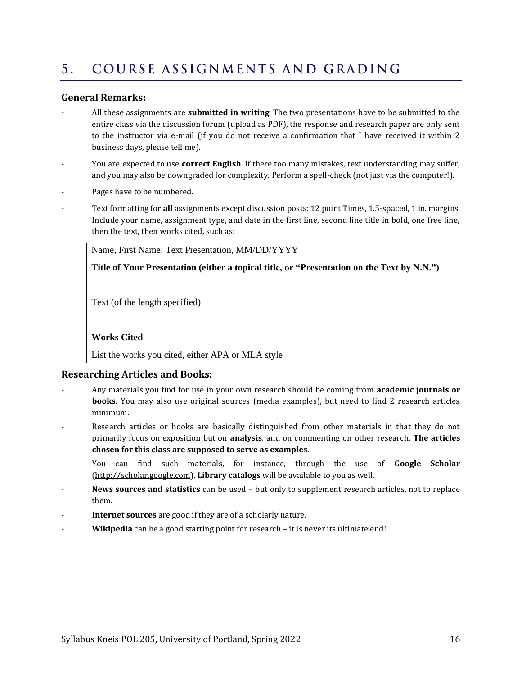#### <span id="page-15-0"></span>COURSE ASSIGNMENTS AND GRADING  $5<sub>1</sub>$

#### **General Remarks:**

- All these assignments are **submitted in writing**. The two presentations have to be submitted to the entire class via the discussion forum (upload as PDF), the response and research paper are only sent to the instructor via e-mail (if you do not receive a confirmation that I have received it within 2 business days, please tell me).
- You are expected to use **correct English**. If there too many mistakes, text understanding may suffer, and you may also be downgraded for complexity. Perform a spell-check (not just via the computer!).
- Pages have to be numbered.
- Text formatting for **all** assignments except discussion posts: 12 point Times, 1.5-spaced, 1 in. margins. Include your name, assignment type, and date in the first line, second line title in bold, one free line, then the text, then works cited, such as:

Name, First Name: Text Presentation, MM/DD/YYYY

**Title of Your Presentation (either a topical title, or "Presentation on the Text by N.N.")**

Text (of the length specified)

#### **Works Cited**

List the works you cited, either APA or MLA style

#### **Researching Articles and Books:**

- Any materials you find for use in your own research should be coming from **academic journals or books**. You may also use original sources (media examples), but need to find 2 research articles minimum.
- Research articles or books are basically distinguished from other materials in that they do not primarily focus on exposition but on **analysis**, and on commenting on other research. **The articles chosen for this class are supposed to serve as examples**.
- You can find such materials, for instance, through the use of **Google Scholar** [\(http://scholar.google.com\)](http://scholar.google.com/). **Library catalogs** will be available to you as well.
- **News sources and statistics** can be used but only to supplement research articles, not to replace them.
- Internet sources are good if they are of a scholarly nature.
- Wikipedia can be a good starting point for research it is never its ultimate end!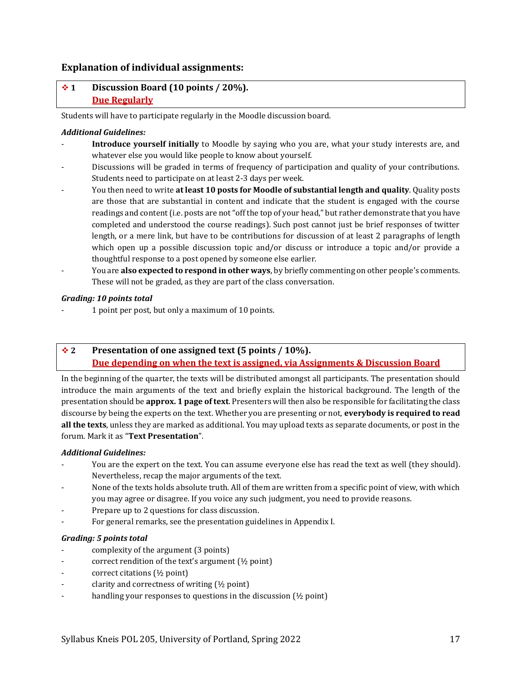#### **Explanation of individual assignments:**

### ❖ **1 Discussion Board (10 points / 20%). Due Regularly**

Students will have to participate regularly in the Moodle discussion board.

#### *Additional Guidelines:*

- Introduce yourself initially to Moodle by saying who you are, what your study interests are, and whatever else you would like people to know about yourself.
- Discussions will be graded in terms of frequency of participation and quality of your contributions. Students need to participate on at least 2-3 days per week.
- You then need to write **at least 10 posts for Moodle of substantial length and quality**. Quality posts are those that are substantial in content and indicate that the student is engaged with the course readings and content (i.e. posts are not "off the top of your head," but rather demonstrate that you have completed and understood the course readings). Such post cannot just be brief responses of twitter length, or a mere link, but have to be contributions for discussion of at least 2 paragraphs of length which open up a possible discussion topic and/or discuss or introduce a topic and/or provide a thoughtful response to a post opened by someone else earlier.
- You are **also expected to respond in other ways**, by briefly commenting on other people's comments. These will not be graded, as they are part of the class conversation.

#### *Grading: 10 points total*

- 1 point per post, but only a maximum of 10 points.

### ❖ **2 Presentation of one assigned text (5 points / 10%). Due depending on when the text is assigned, via Assignments & Discussion Board**

In the beginning of the quarter, the texts will be distributed amongst all participants. The presentation should introduce the main arguments of the text and briefly explain the historical background. The length of the presentation should be **approx. 1 page of text**. Presenters will then also be responsible for facilitating the class discourse by being the experts on the text. Whether you are presenting or not, **everybody is required to read all the texts**, unless they are marked as additional. You may upload texts as separate documents, or post in the forum. Mark it as "**Text Presentation**".

#### *Additional Guidelines:*

- You are the expert on the text. You can assume everyone else has read the text as well (they should). Nevertheless, recap the major arguments of the text.
- None of the texts holds absolute truth. All of them are written from a specific point of view, with which you may agree or disagree. If you voice any such judgment, you need to provide reasons.
- Prepare up to 2 questions for class discussion.
- For general remarks, see the presentation guidelines in Appendix I.

#### *Grading: 5 points total*

- complexity of the argument (3 points)
- correct rendition of the text's argument (½ point)
- correct citations (½ point)
- clarity and correctness of writing  $(\frac{1}{2}$  point)
- handling your responses to questions in the discussion  $(1/2)$  point)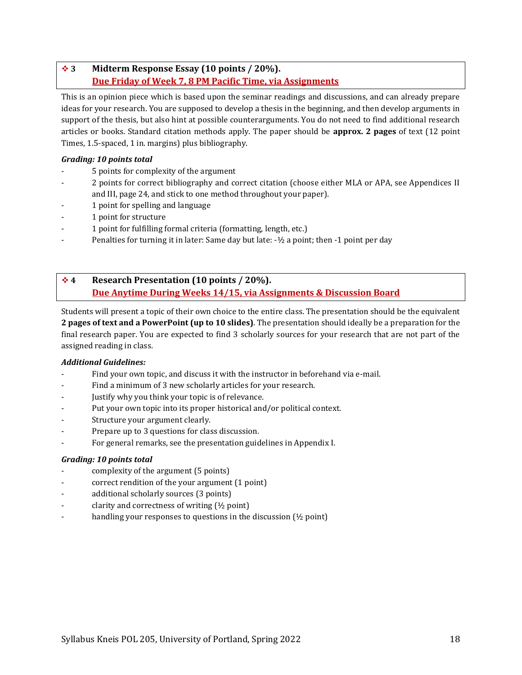### ❖ **3 Midterm Response Essay (10 points / 20%). Due Friday of Week 7, 8 PM Pacific Time, via Assignments**

This is an opinion piece which is based upon the seminar readings and discussions, and can already prepare ideas for your research. You are supposed to develop a thesis in the beginning, and then develop arguments in support of the thesis, but also hint at possible counterarguments. You do not need to find additional research articles or books. Standard citation methods apply. The paper should be **approx. 2 pages** of text (12 point Times, 1.5-spaced, 1 in. margins) plus bibliography.

#### *Grading: 10 points total*

- 5 points for complexity of the argument
- 2 points for correct bibliography and correct citation (choose either MLA or APA, see Appendices II and III, pag[e 24,](#page-23-0) and stick to one method throughout your paper).
- 1 point for spelling and language
- 1 point for structure
- 1 point for fulfilling formal criteria (formatting, length, etc.)
- Penalties for turning it in later: Same day but late: -½ a point; then -1 point per day

### ❖ **4 Research Presentation (10 points / 20%). Due Anytime During Weeks 14/15, via Assignments & Discussion Board**

Students will present a topic of their own choice to the entire class. The presentation should be the equivalent **2 pages of text and a PowerPoint (up to 10 slides)**. The presentation should ideally be a preparation for the final research paper. You are expected to find 3 scholarly sources for your research that are not part of the assigned reading in class.

#### *Additional Guidelines:*

- Find your own topic, and discuss it with the instructor in beforehand via e-mail.
- Find a minimum of 3 new scholarly articles for your research.
- Justify why you think your topic is of relevance.
- Put your own topic into its proper historical and/or political context.
- Structure your argument clearly.
- Prepare up to 3 questions for class discussion.
- For general remarks, see the presentation guidelines in Appendix I.

### *Grading: 10 points total*

- complexity of the argument (5 points)
- correct rendition of the your argument (1 point)
- additional scholarly sources (3 points)
- clarity and correctness of writing  $(\frac{1}{2}$  point)
- handling your responses to questions in the discussion  $(½$  point)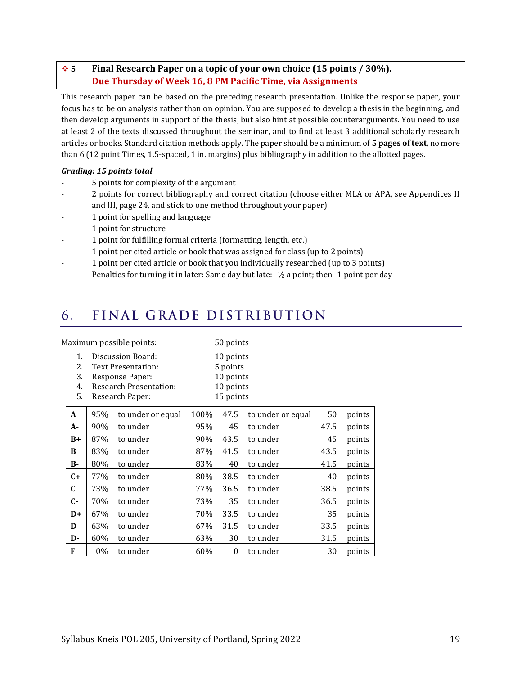### ❖ **5 Final Research Paper on a topic of your own choice (15 points / 30%). Due Thursday of Week 16, 8 PM Pacific Time, via Assignments**

This research paper can be based on the preceding research presentation. Unlike the response paper, your focus has to be on analysis rather than on opinion. You are supposed to develop a thesis in the beginning, and then develop arguments in support of the thesis, but also hint at possible counterarguments. You need to use at least 2 of the texts discussed throughout the seminar, and to find at least 3 additional scholarly research articles or books. Standard citation methods apply. The paper should be a minimum of **5 pages of text**, no more than 6 (12 point Times, 1.5-spaced, 1 in. margins) plus bibliography in addition to the allotted pages.

#### *Grading: 15 points total*

- 5 points for complexity of the argument
- 2 points for correct bibliography and correct citation (choose either MLA or APA, see Appendices II and III, pag[e 24,](#page-23-0) and stick to one method throughout your paper).
- 1 point for spelling and language
- 1 point for structure
- 1 point for fulfilling formal criteria (formatting, length, etc.)
- 1 point per cited article or book that was assigned for class (up to 2 points)
- 1 point per cited article or book that you individually researched (up to 3 points)
- Penalties for turning it in later: Same day but late: -1/2 a point; then -1 point per day

#### <span id="page-18-0"></span>FINAL GRADE DISTRIBUTION 6.

| Maximum possible points:   |                                                                                                                |                   |                                                              | 50 points        |                   |      |        |
|----------------------------|----------------------------------------------------------------------------------------------------------------|-------------------|--------------------------------------------------------------|------------------|-------------------|------|--------|
| 1.<br>2.<br>3.<br>4.<br>5. | Discussion Board:<br>Text Presentation:<br>Response Paper:<br><b>Research Presentation:</b><br>Research Paper: |                   | 10 points<br>5 points<br>10 points<br>10 points<br>15 points |                  |                   |      |        |
| A                          | 95%                                                                                                            | to under or equal | 100%                                                         | 47.5             | to under or equal | 50   | points |
| A-                         | 90%                                                                                                            | to under          | 95%                                                          | 45               | to under          | 47.5 | points |
| $B+$                       | 87%                                                                                                            | to under          | 90%                                                          | 43.5             | to under          | 45   | points |
| B                          | 83%                                                                                                            | to under          | 87%                                                          | 41.5             | to under          | 43.5 | points |
| В-                         | 80%                                                                                                            | to under          | 83%                                                          | 40               | to under          | 41.5 | points |
| $C+$                       | 77%                                                                                                            | to under          | 80%                                                          | 38.5             | to under          | 40   | points |
| C                          | 73%                                                                                                            | to under          | 77%                                                          | 36.5             | to under          | 38.5 | points |
| $C-$                       | 70%                                                                                                            | to under          | 73%                                                          | 35               | to under          | 36.5 | points |
| $D+$                       | 67%                                                                                                            | to under          | 70%                                                          | 33.5             | to under          | 35   | points |
| D                          | 63%                                                                                                            | to under          | 67%                                                          | 31.5             | to under          | 33.5 | points |
| D-                         | 60%                                                                                                            | to under          | 63%                                                          | 30               | to under          | 31.5 | points |
| F                          | 0%                                                                                                             | to under          | 60%                                                          | $\boldsymbol{0}$ | to under          | 30   | points |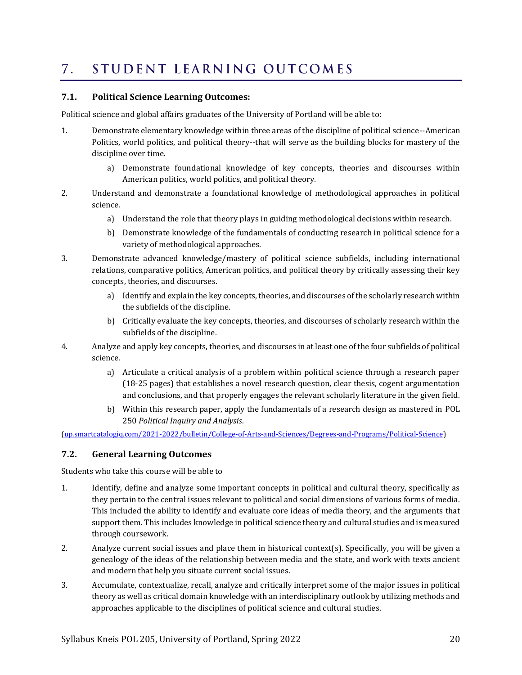#### <span id="page-19-0"></span>STUDENT LEARNING OUTCOMES  $7.$

#### **7.1. Political Science Learning Outcomes:**

Political science and global affairs graduates of the University of Portland will be able to:

- 1. Demonstrate elementary knowledge within three areas of the discipline of political science--American Politics, world politics, and political theory--that will serve as the building blocks for mastery of the discipline over time.
	- a) Demonstrate foundational knowledge of key concepts, theories and discourses within American politics, world politics, and political theory.
- 2. Understand and demonstrate a foundational knowledge of methodological approaches in political science.
	- a) Understand the role that theory plays in guiding methodological decisions within research.
	- b) Demonstrate knowledge of the fundamentals of conducting research in political science for a variety of methodological approaches.
- 3. Demonstrate advanced knowledge/mastery of political science subfields, including international relations, comparative politics, American politics, and political theory by critically assessing their key concepts, theories, and discourses.
	- a) Identify and explain the key concepts, theories, and discourses of the scholarly research within the subfields of the discipline.
	- b) Critically evaluate the key concepts, theories, and discourses of scholarly research within the subfields of the discipline.
- 4. Analyze and apply key concepts, theories, and discourses in at least one of the four subfields of political science.
	- a) Articulate a critical analysis of a problem within political science through a research paper (18-25 pages) that establishes a novel research question, clear thesis, cogent argumentation and conclusions, and that properly engages the relevant scholarly literature in the given field.
	- b) Within this research paper, apply the fundamentals of a research design as mastered in [POL](http://up.smartcatalogiq.com/2021-2022/bulletin/Courses/POL-Political-Science/Introductory-Courses/POL-250)  [250](http://up.smartcatalogiq.com/2021-2022/bulletin/Courses/POL-Political-Science/Introductory-Courses/POL-250) *Political Inquiry and Analysis*.

[\(up.smartcatalogiq.com/2021-2022/bulletin/College-of-Arts-and-Sciences/Degrees-and-Programs/Political-Science\)](http://up.smartcatalogiq.com/2021-2022/bulletin/College-of-Arts-and-Sciences/Degrees-and-Programs/Political-Science)

#### **7.2. General Learning Outcomes**

Students who take this course will be able to

- 1. Identify, define and analyze some important concepts in political and cultural theory, specifically as they pertain to the central issues relevant to political and social dimensions of various forms of media. This included the ability to identify and evaluate core ideas of media theory, and the arguments that support them. This includes knowledge in political science theory and cultural studies and is measured through coursework.
- 2. Analyze current social issues and place them in historical context(s). Specifically, you will be given a genealogy of the ideas of the relationship between media and the state, and work with texts ancient and modern that help you situate current social issues.
- 3. Accumulate, contextualize, recall, analyze and critically interpret some of the major issues in political theory as well as critical domain knowledge with an interdisciplinary outlook by utilizing methods and approaches applicable to the disciplines of political science and cultural studies.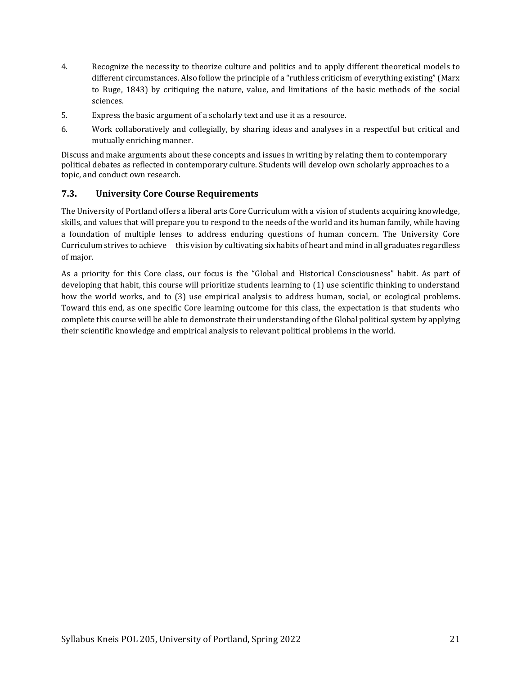- 4. Recognize the necessity to theorize culture and politics and to apply different theoretical models to different circumstances. Also follow the principle of a "ruthless criticism of everything existing" (Marx to Ruge, 1843) by critiquing the nature, value, and limitations of the basic methods of the social sciences.
- 5. Express the basic argument of a scholarly text and use it as a resource.
- 6. Work collaboratively and collegially, by sharing ideas and analyses in a respectful but critical and mutually enriching manner.

Discuss and make arguments about these concepts and issues in writing by relating them to contemporary political debates as reflected in contemporary culture. Students will develop own scholarly approaches to a topic, and conduct own research.

### **7.3. University Core Course Requirements**

The University of Portland offers a liberal arts Core Curriculum with a vision of students acquiring knowledge, skills, and values that will prepare you to respond to the needs of the world and its human family, while having a foundation of multiple lenses to address enduring questions of human concern. The University Core Curriculum strives to achieve this vision by cultivating six habits of heart and mind in all graduates regardless of major.

As a priority for this Core class, our focus is the "Global and Historical Consciousness" habit. As part of developing that habit, this course will prioritize students learning to (1) use scientific thinking to understand how the world works, and to (3) use empirical analysis to address human, social, or ecological problems. Toward this end, as one specific Core learning outcome for this class, the expectation is that students who complete this course will be able to demonstrate their understanding of the Global political system by applying their scientific knowledge and empirical analysis to relevant political problems in the world.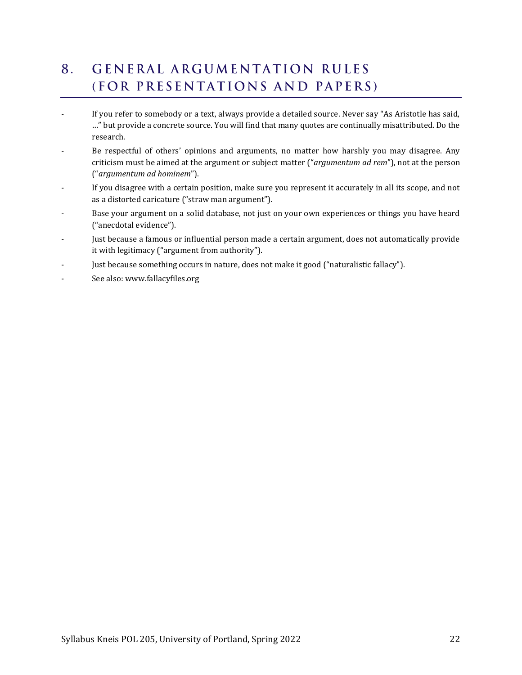### <span id="page-21-0"></span>**GENERAL ARGUMENTATION RULES**  $8<sub>1</sub>$ (FOR PRESENTATIONS AND PAPERS)

- If you refer to somebody or a text, always provide a detailed source. Never say "As Aristotle has said, …" but provide a concrete source. You will find that many quotes are continually misattributed. Do the research.
- Be respectful of others' opinions and arguments, no matter how harshly you may disagree. Any criticism must be aimed at the argument or subject matter ("*argumentum ad rem*"), not at the person ("*argumentum ad hominem*").
- If you disagree with a certain position, make sure you represent it accurately in all its scope, and not as a distorted caricature ("straw man argument").
- Base your argument on a solid database, not just on your own experiences or things you have heard ("anecdotal evidence").
- Just because a famous or influential person made a certain argument, does not automatically provide it with legitimacy ("argument from authority").
- Just because something occurs in nature, does not make it good ("naturalistic fallacy").
- See also: www.fallacyfiles.org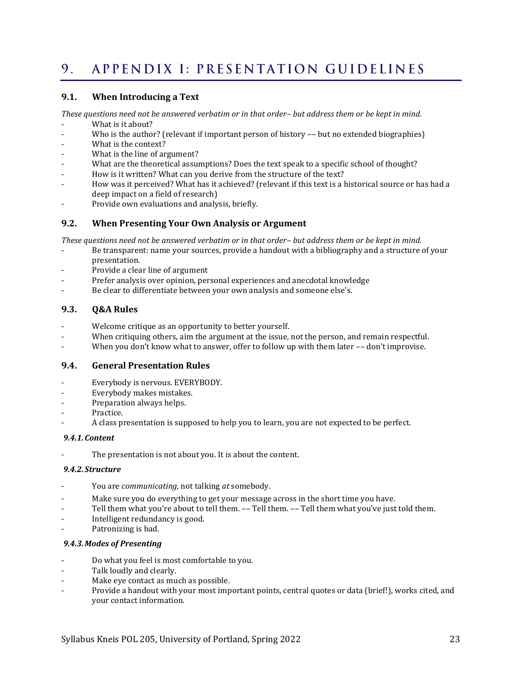#### <span id="page-22-0"></span>APPENDIX I: PRESENTATION GUIDELINES  $9<sub>1</sub>$

#### **9.1. When Introducing a Text**

*These questions need not be answered verbatim or in that order– but address them or be kept in mind.*

- What is it about?
- Who is the author? (relevant if important person of history -- but no extended biographies)
- What is the context?
- What is the line of argument?
- What are the theoretical assumptions? Does the text speak to a specific school of thought?
- How is it written? What can you derive from the structure of the text?
- How was it perceived? What has it achieved? (relevant if this text is a historical source or has had a deep impact on a field of research)
- Provide own evaluations and analysis, briefly.

#### **9.2. When Presenting Your Own Analysis or Argument**

*These questions need not be answered verbatim or in that order– but address them or be kept in mind.*

- Be transparent: name your sources, provide a handout with a bibliography and a structure of your presentation.
- Provide a clear line of argument
- Prefer analysis over opinion, personal experiences and anecdotal knowledge
- Be clear to differentiate between your own analysis and someone else's.

#### **9.3. Q&A Rules**

- Welcome critique as an opportunity to better yourself.
- When critiquing others, aim the argument at the issue, not the person, and remain respectful.
- When you don't know what to answer, offer to follow up with them later -- don't improvise.

#### **9.4. General Presentation Rules**

- Everybody is nervous. EVERYBODY.
- Everybody makes mistakes.
- Preparation always helps.
- Practice.
- A class presentation is supposed to help you to learn, you are not expected to be perfect.

#### *9.4.1.Content*

The presentation is not about you. It is about the content.

#### *9.4.2. Structure*

- You are *communicating*, not talking *at* somebody.
- Make sure you do everything to get your message across in the short time you have.
- Tell them what you're about to tell them. -- Tell them. -- Tell them what you've just told them.
- Intelligent redundancy is good.
- Patronizing is bad.

#### *9.4.3.Modes of Presenting*

- Do what you feel is most comfortable to you.
- Talk loudly and clearly.
- Make eye contact as much as possible.
- Provide a handout with your most important points, central quotes or data (brief!), works cited, and your contact information.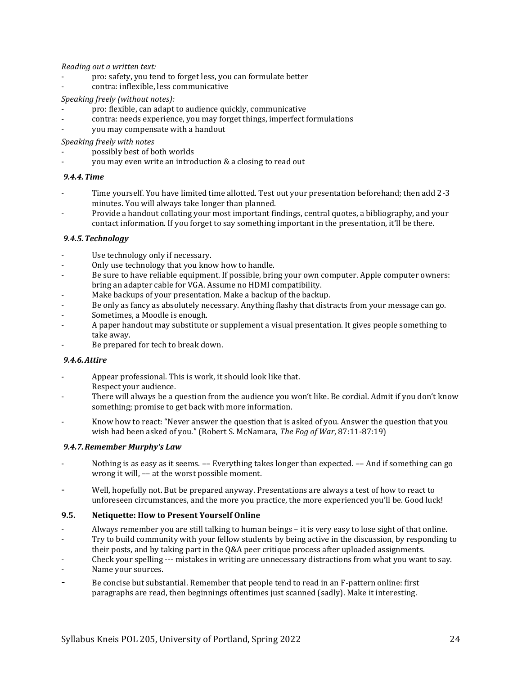*Reading out a written text:*

- pro: safety, you tend to forget less, you can formulate better
- contra: inflexible, less communicative

#### *Speaking freely (without notes):*

- pro: flexible, can adapt to audience quickly, communicative
- contra: needs experience, you may forget things, imperfect formulations
- you may compensate with a handout

*Speaking freely with notes*

- possibly best of both worlds
- you may even write an introduction & a closing to read out

#### *9.4.4.Time*

- Time yourself. You have limited time allotted. Test out your presentation beforehand; then add 2-3 minutes. You will always take longer than planned.
- Provide a handout collating your most important findings, central quotes, a bibliography, and your contact information. If you forget to say something important in the presentation, it'll be there.

#### *9.4.5.Technology*

- Use technology only if necessary.
- Only use technology that you know how to handle.
- Be sure to have reliable equipment. If possible, bring your own computer. Apple computer owners: bring an adapter cable for VGA. Assume no HDMI compatibility.
- Make backups of your presentation. Make a backup of the backup.
- Be only as fancy as absolutely necessary. Anything flashy that distracts from your message can go.
- Sometimes, a Moodle is enough.
- A paper handout may substitute or supplement a visual presentation. It gives people something to take away.
- Be prepared for tech to break down.

#### *9.4.6.Attire*

- Appear professional. This is work, it should look like that. Respect your audience.
- There will always be a question from the audience you won't like. Be cordial. Admit if you don't know something; promise to get back with more information.
- Know how to react: "Never answer the question that is asked of you. Answer the question that you wish had been asked of you." (Robert S. McNamara, *The Fog of War*, 87:11-87:19)

#### *9.4.7.Remember Murphy's Law*

- Nothing is as easy as it seems. -- Everything takes longer than expected. -- And if something can go wrong it will, –– at the worst possible moment.
- Well, hopefully not. But be prepared anyway. Presentations are always a test of how to react to unforeseen circumstances, and the more you practice, the more experienced you'll be. Good luck!

#### **9.5. Netiquette: How to Present Yourself Online**

- Always remember you are still talking to human beings it is very easy to lose sight of that online.
- Try to build community with your fellow students by being active in the discussion, by responding to
- their posts, and by taking part in the Q&A peer critique process after uploaded assignments.
- Check your spelling --- mistakes in writing are unnecessary distractions from what you want to say.
- Name your sources.
- <span id="page-23-0"></span>Be concise but substantial. Remember that people tend to read in an F-pattern online: first paragraphs are read, then beginnings oftentimes just scanned (sadly). Make it interesting.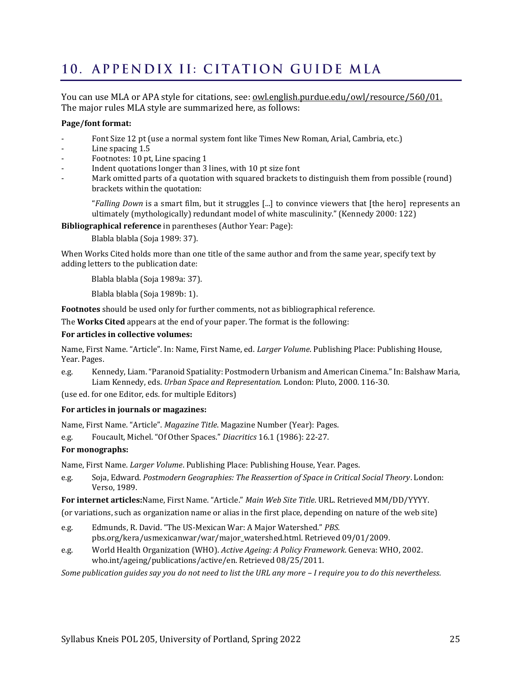# <span id="page-24-0"></span>10. APPENDIX II: CITATION GUIDE MLA

You can use MLA or APA style for citations, see: <u>owl.english.purdue.edu/owl/resource/560/01.</u> The major rules MLA style are summarized here, as follows:

#### **Page/font format:**

- Font Size 12 pt (use a normal system font like Times New Roman, Arial, Cambria, etc.)
- Line spacing 1.5
- Footnotes: 10 pt, Line spacing 1
- Indent quotations longer than 3 lines, with 10 pt size font
- Mark omitted parts of a quotation with squared brackets to distinguish them from possible (round) brackets within the quotation:

"*Falling Down* is a smart film, but it struggles [...] to convince viewers that [the hero] represents an ultimately (mythologically) redundant model of white masculinity." (Kennedy 2000: 122)

**Bibliographical reference** in parentheses (Author Year: Page):

Blabla blabla (Soja 1989: 37).

When Works Cited holds more than one title of the same author and from the same year, specify text by adding letters to the publication date:

Blabla blabla (Soja 1989a: 37).

Blabla blabla (Soja 1989b: 1).

**Footnotes** should be used only for further comments, not as bibliographical reference.

The **Works Cited** appears at the end of your paper. The format is the following:

#### **For articles in collective volumes:**

Name, First Name. "Article". In: Name, First Name, ed. *Larger Volume*. Publishing Place: Publishing House, Year. Pages.

e.g. Kennedy, Liam. "Paranoid Spatiality: Postmodern Urbanism and American Cinema." In: Balshaw Maria, Liam Kennedy, eds. *Urban Space and Representation.* London: Pluto, 2000. 116-30.

(use ed. for one Editor, eds. for multiple Editors)

#### **For articles in journals or magazines:**

Name, First Name. "Article". *Magazine Title*. Magazine Number (Year): Pages.

e.g. Foucault, Michel. "Of Other Spaces." *Diacritics* 16.1 (1986): 22-27.

#### **For monographs:**

Name, First Name. *Larger Volume*. Publishing Place: Publishing House, Year. Pages.

e.g. Soja, Edward. *Postmodern Geographies: The Reassertion of Space in Critical Social Theory*. London: Verso, 1989.

**For internet articles:**Name, First Name. "Article." *Main Web Site Title*. URL. Retrieved MM/DD/YYYY.

(or variations, such as organization name or alias in the first place, depending on nature of the web site)

- e.g. Edmunds, R. David. "The US-Mexican War: A Major Watershed." *PBS.*  pbs.org/kera/usmexicanwar/war/major\_watershed.html. Retrieved 09/01/2009.
- e.g. World Health Organization (WHO). *Active Ageing: A Policy Framework*. Geneva: WHO, 2002. who.int/ageing/publications/active/en. Retrieved 08/25/2011.

*Some publication guides say you do not need to list the URL any more – I require you to do this nevertheless.*